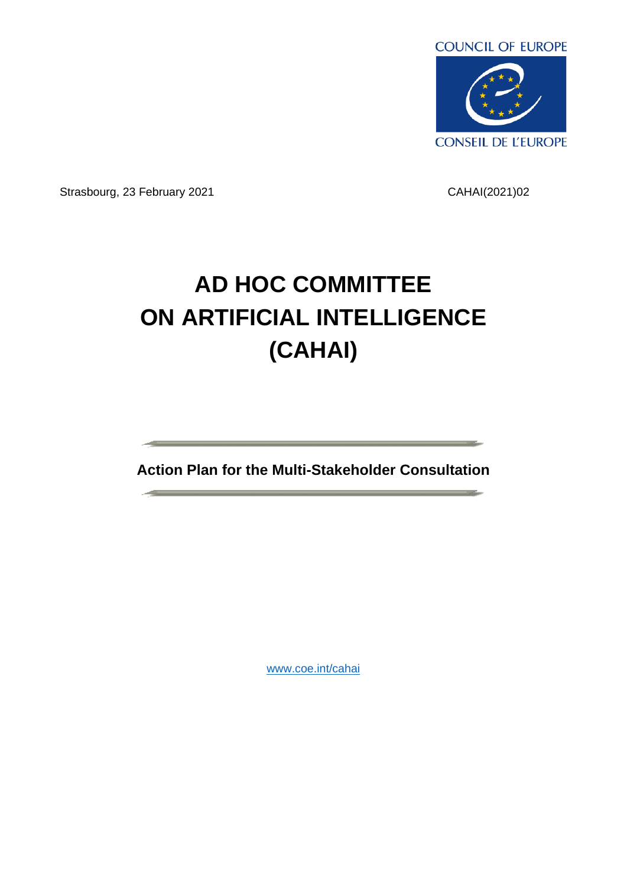

Strasbourg, 23 February 2021 CAHAI(2021)02

# **AD HOC COMMITTEE ON ARTIFICIAL INTELLIGENCE (CAHAI)**

**Action Plan for the Multi-Stakeholder Consultation**

[www.coe.int/cahai](http://www.coe.int/cahai)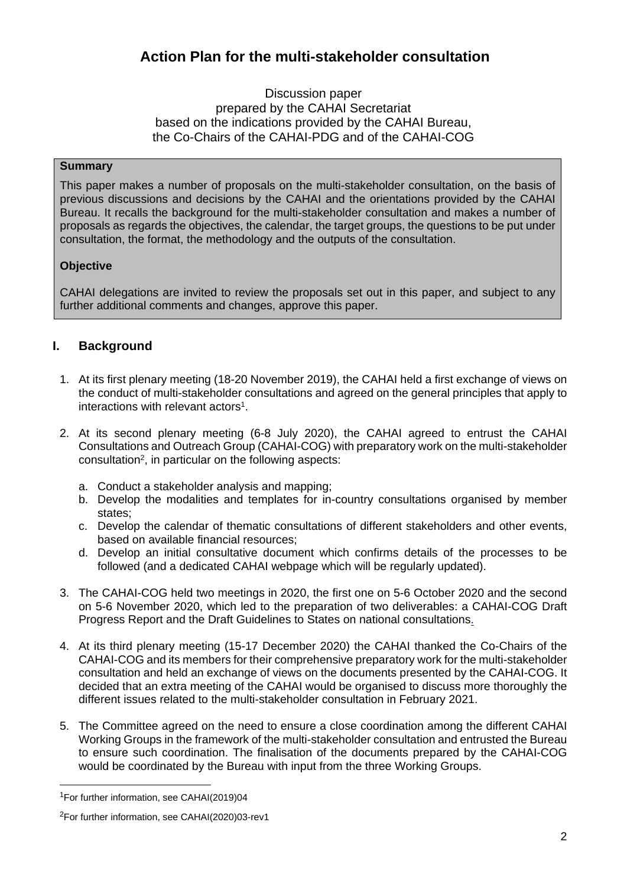# **Action Plan for the multi-stakeholder consultation**

# Discussion paper prepared by the CAHAI Secretariat based on the indications provided by the CAHAI Bureau, the Co-Chairs of the CAHAI-PDG and of the CAHAI-COG

# **Summary**

This paper makes a number of proposals on the multi-stakeholder consultation, on the basis of previous discussions and decisions by the CAHAI and the orientations provided by the CAHAI Bureau. It recalls the background for the multi-stakeholder consultation and makes a number of proposals as regards the objectives, the calendar, the target groups, the questions to be put under consultation, the format, the methodology and the outputs of the consultation.

# **Objective**

CAHAI delegations are invited to review the proposals set out in this paper, and subject to any further additional comments and changes, approve this paper.

# **I. Background**

- 1. At its first plenary meeting (18-20 November 2019), the CAHAI held a first exchange of views on the conduct of multi-stakeholder consultations and agreed on the general principles that apply to interactions with relevant actors<sup>1</sup>.
- 2. At its second plenary meeting (6-8 July 2020), the CAHAI agreed to entrust the CAHAI Consultations and Outreach Group (CAHAI-COG) with preparatory work on the multi-stakeholder consultation<sup>2</sup> , in particular on the following aspects:
	- a. Conduct a stakeholder analysis and mapping;
	- b. Develop the modalities and templates for in-country consultations organised by member states;
	- c. Develop the calendar of thematic consultations of different stakeholders and other events, based on available financial resources;
	- d. Develop an initial consultative document which confirms details of the processes to be followed (and a dedicated CAHAI webpage which will be regularly updated).
- 3. The CAHAI-COG held two meetings in 2020, the first one on 5-6 October 2020 and the second on 5-6 November 2020, which led to the preparation of two deliverables: a CAHAI-COG [Draft](https://rm.coe.int/cahai-cog-2020-04-eng-cog-progress-report-/1680a0b0d0)  [Progress Report](https://rm.coe.int/cahai-cog-2020-04-eng-cog-progress-report-/1680a0b0d0) and the [Draft Guidelines to States on national consultations](https://rm.coe.int/cahai-cog-2020-05-eng-annex-d-cog-guidelines-to-states-/1680a0b0d1).
- 4. At its third plenary meeting (15-17 December 2020) the CAHAI thanked the Co-Chairs of the CAHAI-COG and its members for their comprehensive preparatory work for the multi-stakeholder consultation and held an exchange of views on the documents presented by the CAHAI-COG. It decided that an extra meeting of the CAHAI would be organised to discuss more thoroughly the different issues related to the multi-stakeholder consultation in February 2021.
- 5. The Committee agreed on the need to ensure a close coordination among the different CAHAI Working Groups in the framework of the multi-stakeholder consultation and entrusted the Bureau to ensure such coordination. The finalisation of the documents prepared by the CAHAI-COG would be coordinated by the Bureau with input from the three Working Groups.

<sup>1</sup>For further information, see [CAHAI\(2019\)04](https://rm.coe.int/cahai-2019-04-methods-en/168098cd68)

<sup>2</sup>For further information, see [CAHAI\(2020\)03-rev1](https://rm.coe.int/cahai-2020-03rev1-en-prov/16809eedce)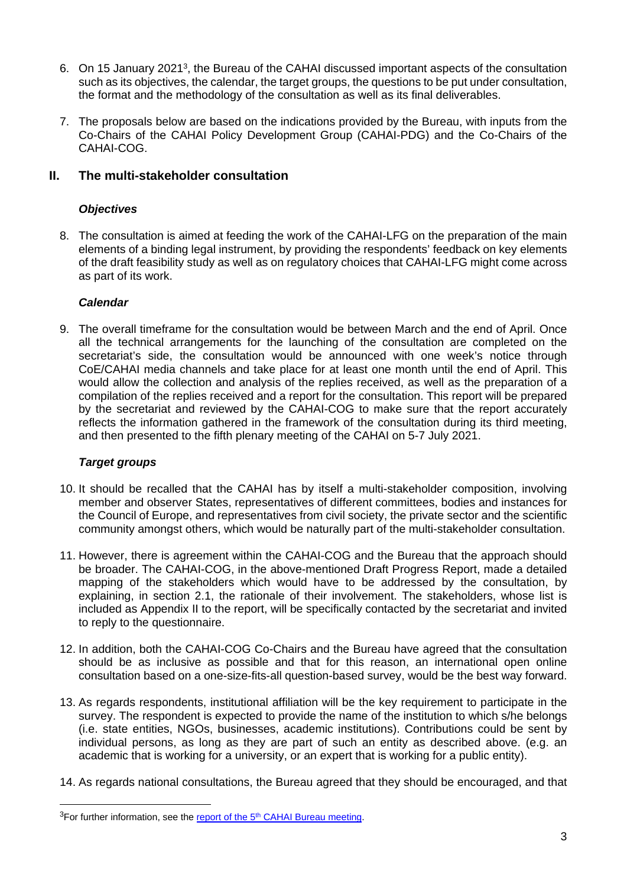- 6. On 15 January 2021<sup>3</sup> , the Bureau of the CAHAI discussed important aspects of the consultation such as its objectives, the calendar, the target groups, the questions to be put under consultation, the format and the methodology of the consultation as well as its final deliverables.
- 7. The proposals below are based on the indications provided by the Bureau, with inputs from the Co-Chairs of the CAHAI Policy Development Group (CAHAI-PDG) and the Co-Chairs of the CAHAI-COG.

# **II. The multi-stakeholder consultation**

# *Objectives*

8. The consultation is aimed at feeding the work of the CAHAI-LFG on the preparation of the main elements of a binding legal instrument, by providing the respondents' feedback on key elements of the draft feasibility study as well as on regulatory choices that CAHAI-LFG might come across as part of its work.

# *Calendar*

9. The overall timeframe for the consultation would be between March and the end of April. Once all the technical arrangements for the launching of the consultation are completed on the secretariat's side, the consultation would be announced with one week's notice through CoE/CAHAI media channels and take place for at least one month until the end of April. This would allow the collection and analysis of the replies received, as well as the preparation of a compilation of the replies received and a report for the consultation. This report will be prepared by the secretariat and reviewed by the CAHAI-COG to make sure that the report accurately reflects the information gathered in the framework of the consultation during its third meeting, and then presented to the fifth plenary meeting of the CAHAI on 5-7 July 2021.

# *Target groups*

- 10. It should be recalled that the CAHAI has by itself a multi-stakeholder composition, involving member and observer States, representatives of different committees, bodies and instances for the Council of Europe, and representatives from civil society, the private sector and the scientific community amongst others, which would be naturally part of the multi-stakeholder consultation.
- 11. However, there is agreement within the CAHAI-COG and the Bureau that the approach should be broader. The CAHAI-COG, in the above-mentioned Draft Progress Report, made a detailed mapping of the stakeholders which would have to be addressed by the consultation, by explaining, in section 2.1, the rationale of their involvement. The stakeholders, whose list is included as Appendix II to the report, will be specifically contacted by the secretariat and invited to reply to the questionnaire.
- 12. In addition, both the CAHAI-COG Co-Chairs and the Bureau have agreed that the consultation should be as inclusive as possible and that for this reason, an international open online consultation based on a one-size-fits-all question-based survey, would be the best way forward.
- 13. As regards respondents, institutional affiliation will be the key requirement to participate in the survey. The respondent is expected to provide the name of the institution to which s/he belongs (i.e. state entities, NGOs, businesses, academic institutions). Contributions could be sent by individual persons, as long as they are part of such an entity as described above. (e.g. an academic that is working for a university, or an expert that is working for a public entity).
- 14. As regards national consultations, the Bureau agreed that they should be encouraged, and that

 $3$ For further information, see the report of the  $5<sup>th</sup>$  [CAHAI Bureau meeting.](https://rm.coe.int/cahai-bu-2021-rep1-abridged-report-5th-bureau-meeting/1680a147bd)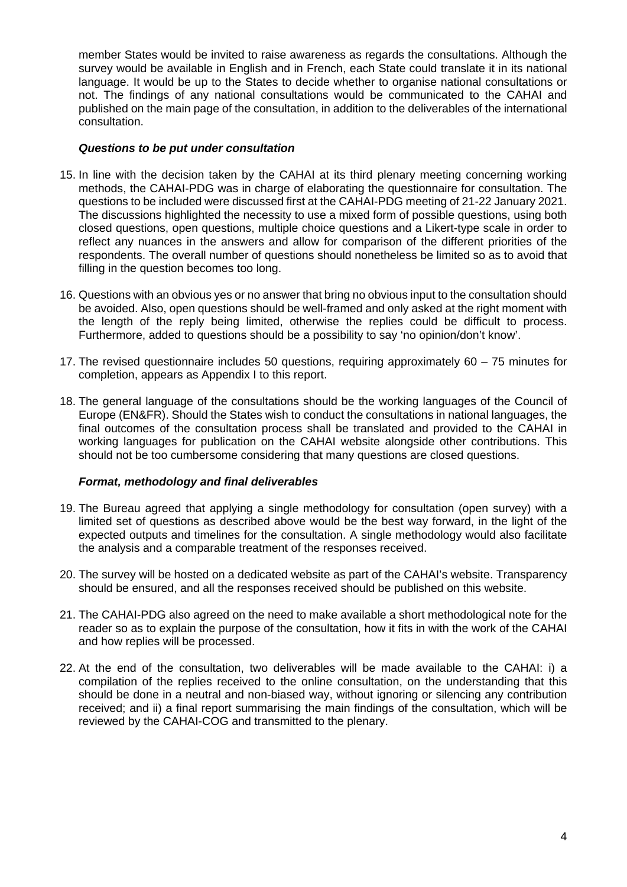member States would be invited to raise awareness as regards the consultations. Although the survey would be available in English and in French, each State could translate it in its national language. It would be up to the States to decide whether to organise national consultations or not. The findings of any national consultations would be communicated to the CAHAI and published on the main page of the consultation, in addition to the deliverables of the international consultation.

# *Questions to be put under consultation*

- 15. In line with the decision taken by the CAHAI at its third plenary meeting concerning working methods, the CAHAI-PDG was in charge of elaborating the questionnaire for consultation. The questions to be included were discussed first at the CAHAI-PDG meeting of 21-22 January 2021. The discussions highlighted the necessity to use a mixed form of possible questions, using both closed questions, open questions, multiple choice questions and a Likert-type scale in order to reflect any nuances in the answers and allow for comparison of the different priorities of the respondents. The overall number of questions should nonetheless be limited so as to avoid that filling in the question becomes too long.
- 16. Questions with an obvious yes or no answer that bring no obvious input to the consultation should be avoided. Also, open questions should be well-framed and only asked at the right moment with the length of the reply being limited, otherwise the replies could be difficult to process. Furthermore, added to questions should be a possibility to say 'no opinion/don't know'.
- 17. The revised questionnaire includes 50 questions, requiring approximately 60 75 minutes for completion, appears as Appendix I to this report.
- 18. The general language of the consultations should be the working languages of the Council of Europe (EN&FR). Should the States wish to conduct the consultations in national languages, the final outcomes of the consultation process shall be translated and provided to the CAHAI in working languages for publication on the CAHAI website alongside other contributions. This should not be too cumbersome considering that many questions are closed questions.

# *Format, methodology and final deliverables*

- 19. The Bureau agreed that applying a single methodology for consultation (open survey) with a limited set of questions as described above would be the best way forward, in the light of the expected outputs and timelines for the consultation. A single methodology would also facilitate the analysis and a comparable treatment of the responses received.
- 20. The survey will be hosted on a dedicated website as part of the CAHAI's website. Transparency should be ensured, and all the responses received should be published on this website.
- 21. The CAHAI-PDG also agreed on the need to make available a short methodological note for the reader so as to explain the purpose of the consultation, how it fits in with the work of the CAHAI and how replies will be processed.
- 22. At the end of the consultation, two deliverables will be made available to the CAHAI: i) a compilation of the replies received to the online consultation, on the understanding that this should be done in a neutral and non-biased way, without ignoring or silencing any contribution received; and ii) a final report summarising the main findings of the consultation, which will be reviewed by the CAHAI-COG and transmitted to the plenary.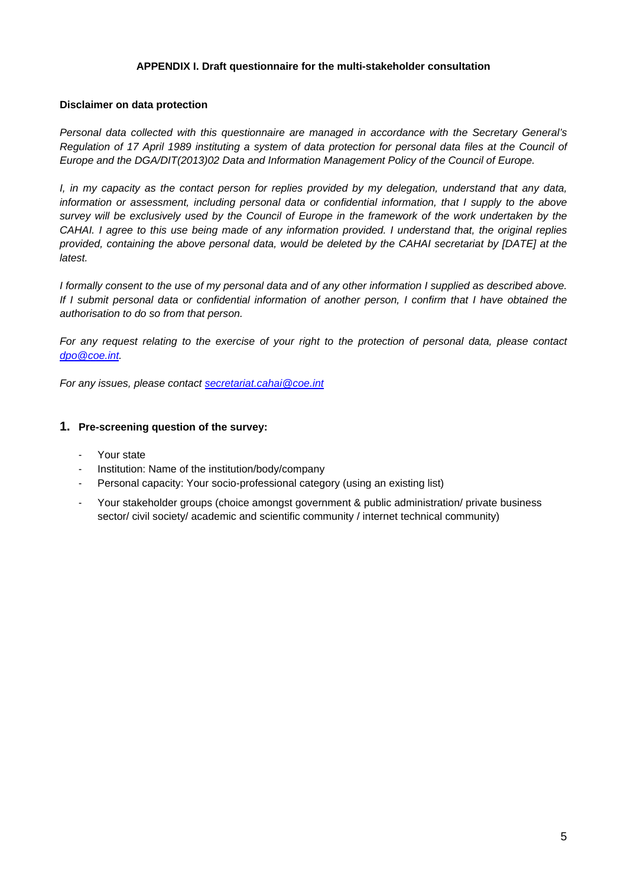#### **APPENDIX I. Draft questionnaire for the multi-stakeholder consultation**

#### **Disclaimer on data protection**

*Personal data collected with this questionnaire are managed in accordance with the Secretary General's Regulation of 17 April 1989 instituting a system of data protection for personal data files at the Council of Europe and the DGA/DIT(2013)02 Data and Information Management Policy of the Council of Europe.*

*I, in my capacity as the contact person for replies provided by my delegation, understand that any data, information or assessment, including personal data or confidential information, that I supply to the above survey will be exclusively used by the Council of Europe in the framework of the work undertaken by the CAHAI. I agree to this use being made of any information provided. I understand that, the original replies provided, containing the above personal data, would be deleted by the CAHAI secretariat by [DATE] at the latest.* 

*I formally consent to the use of my personal data and of any other information I supplied as described above. If I submit personal data or confidential information of another person, I confirm that I have obtained the authorisation to do so from that person.* 

*For any request relating to the exercise of your right to the protection of personal data, please contact [dpo@coe.int](mailto:dpo@coe.int).* 

*For any issues, please contact [secretariat.cahai@coe.int](mailto:secretariat.cahai@coe.int)*

#### **1. Pre-screening question of the survey:**

- Your state
- Institution: Name of the institution/body/company
- Personal capacity: Your socio-professional category (using an existing list)
- Your stakeholder groups (choice amongst government & public administration/ private business sector/ civil society/ academic and scientific community / internet technical community)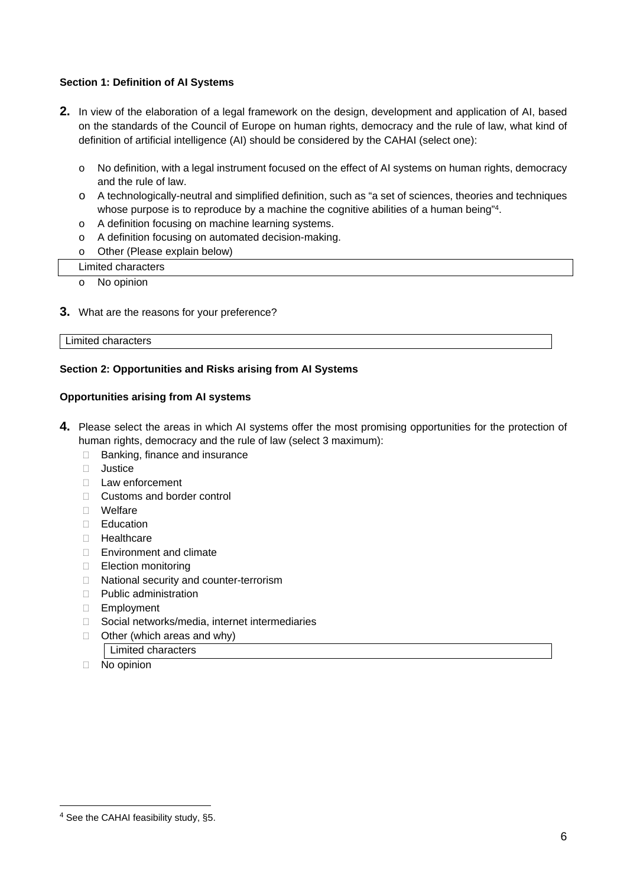## **Section 1: Definition of AI Systems**

- **2.** In view of the elaboration of a legal framework on the design, development and application of AI, based on the standards of the Council of Europe on human rights, democracy and the rule of law, what kind of definition of artificial intelligence (AI) should be considered by the CAHAI (select one):
	- o No definition, with a legal instrument focused on the effect of AI systems on human rights, democracy and the rule of law.
	- o A technologically-neutral and simplified definition, such as "a set of sciences, theories and techniques whose purpose is to reproduce by a machine the cognitive abilities of a human being"<sup>4</sup>.
	- o A definition focusing on machine learning systems.
	- o A definition focusing on automated decision-making.
	- o Other (Please explain below)

#### Limited characters

- o No opinion
- **3.** What are the reasons for your preference?

#### Limited characters

#### **Section 2: Opportunities and Risks arising from AI Systems**

#### **Opportunities arising from AI systems**

- **4.** Please select the areas in which AI systems offer the most promising opportunities for the protection of human rights, democracy and the rule of law (select 3 maximum):
	- □ Banking, finance and insurance
	- □ Justice
	- □ Law enforcement
	- □ Customs and border control
	- Welfare
	- □ Education
	- □ Healthcare
	- □ Environment and climate
	- Election monitoring
	- □ National security and counter-terrorism
	- D Public administration
	- Employment
	- □ Social networks/media, internet intermediaries
	- $\Box$  Other (which areas and why)
		- | Limited characters
	- $\Box$  No opinion

<sup>&</sup>lt;sup>4</sup> See the CAHAI feasibility study, §5.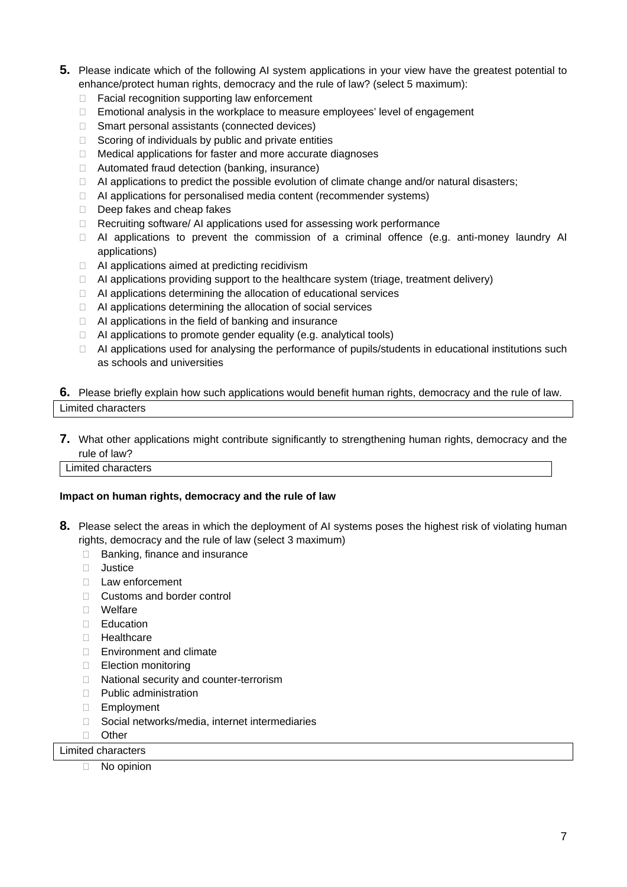- **5.** Please indicate which of the following AI system applications in your view have the greatest potential to enhance/protect human rights, democracy and the rule of law? (select 5 maximum):
	- □ Facial recognition supporting law enforcement
	- $\Box$  Emotional analysis in the workplace to measure employees' level of engagement
	- □ Smart personal assistants (connected devices)
	- $\Box$  Scoring of individuals by public and private entities
	- $\Box$  Medical applications for faster and more accurate diagnoses
	- $\Box$  Automated fraud detection (banking, insurance)
	- $\Box$  AI applications to predict the possible evolution of climate change and/or natural disasters;
	- $\Box$  AI applications for personalised media content (recommender systems)
	- $\Box$  Deep fakes and cheap fakes
	- □ Recruiting software/ AI applications used for assessing work performance
	- $\Box$  AI applications to prevent the commission of a criminal offence (e.g. anti-money laundry AI applications)
	- $\Box$  AI applications aimed at predicting recidivism
	- $\Box$  AI applications providing support to the healthcare system (triage, treatment delivery)
	- $\Box$  AI applications determining the allocation of educational services
	- $\Box$  AI applications determining the allocation of social services
	- $\Box$  AI applications in the field of banking and insurance
	- $\Box$  AI applications to promote gender equality (e.g. analytical tools)
	- $\Box$  AI applications used for analysing the performance of pupils/students in educational institutions such as schools and universities

## **6.** Please briefly explain how such applications would benefit human rights, democracy and the rule of law. Limited characters

#### **7.** What other applications might contribute significantly to strengthening human rights, democracy and the rule of law?

**Limited characters** 

#### **Impact on human rights, democracy and the rule of law**

- **8.** Please select the areas in which the deployment of AI systems poses the highest risk of violating human rights, democracy and the rule of law (select 3 maximum)
	- $\Box$  Banking, finance and insurance
	- □ Justice
	- □ Law enforcement
	- □ Customs and border control
	- Welfare
	- □ Education
	- □ Healthcare
	- □ Environment and climate
	- □ Election monitoring
	- □ National security and counter-terrorism
	- D Public administration
	- Employment
	- Social networks/media, internet intermediaries
	- D Other

Limited characters

 $\Box$  No opinion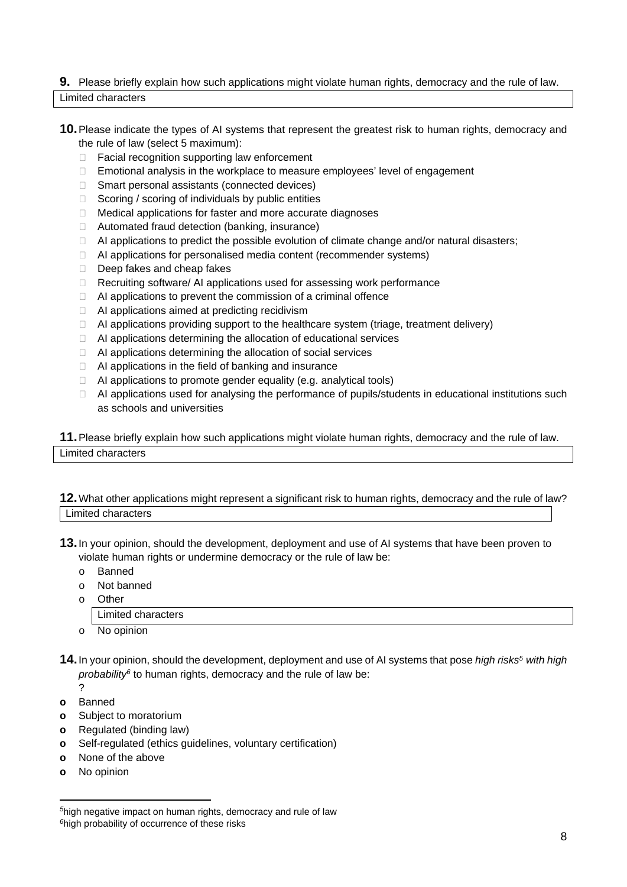# **9.** Please briefly explain how such applications might violate human rights, democracy and the rule of law. Limited characters

- **10.**Please indicate the types of AI systems that represent the greatest risk to human rights, democracy and the rule of law (select 5 maximum):
	- $\Box$  Facial recognition supporting law enforcement
	- $\Box$  Emotional analysis in the workplace to measure employees' level of engagement
	- $\Box$  Smart personal assistants (connected devices)
	- $\Box$  Scoring / scoring of individuals by public entities
	- □ Medical applications for faster and more accurate diagnoses
	- $\Box$  Automated fraud detection (banking, insurance)
	- $\Box$  AI applications to predict the possible evolution of climate change and/or natural disasters;
	- $\Box$  AI applications for personalised media content (recommender systems)
	- $\Box$  Deep fakes and cheap fakes
	- $\Box$  Recruiting software/ AI applications used for assessing work performance
	- $\Box$  AI applications to prevent the commission of a criminal offence
	- $\Box$  AI applications aimed at predicting recidivism
	- $\Box$  AI applications providing support to the healthcare system (triage, treatment delivery)
	- $\Box$  AI applications determining the allocation of educational services
	- $\Box$  AI applications determining the allocation of social services
	- $\Box$  AI applications in the field of banking and insurance
	- $\Box$  AI applications to promote gender equality (e.g. analytical tools)
	- $\Box$  AI applications used for analysing the performance of pupils/students in educational institutions such as schools and universities

**11.**Please briefly explain how such applications might violate human rights, democracy and the rule of law. Limited characters

## **12.**What other applications might represent a significant risk to human rights, democracy and the rule of law? Limited characters

- **13.**In your opinion, should the development, deployment and use of AI systems that have been proven to violate human rights or undermine democracy or the rule of law be:
	- o Banned
	- o Not banned
	- o Other

|  |  | Limited characters |
|--|--|--------------------|
|--|--|--------------------|

- o No opinion
- **14.**In your opinion, should the development, deployment and use of AI systems that pose *high risks<sup>5</sup> with high probability<sup>6</sup>* to human rights, democracy and the rule of law be:
	- ?
- **o** Banned
- **o** Subject to moratorium
- **o** Regulated (binding law)
- **o** Self-regulated (ethics guidelines, voluntary certification)
- **o** None of the above
- **o** No opinion

*<sup>5</sup>*high negative impact on human rights, democracy and rule of law *<sup>6</sup>*high probability of occurrence of these risks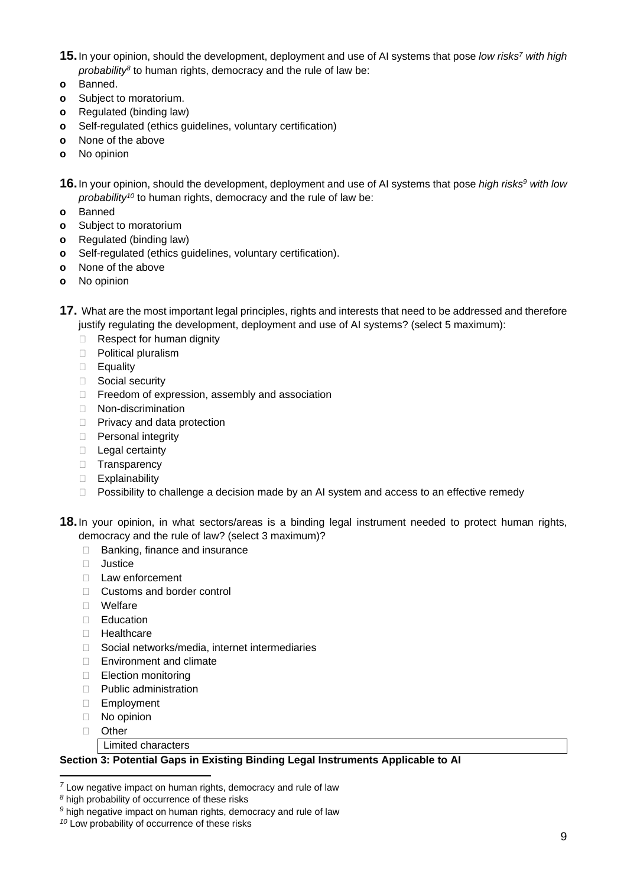- **15.**In your opinion, should the development, deployment and use of AI systems that pose *low risks<sup>7</sup> with high probability<sup>8</sup>* to human rights, democracy and the rule of law be:
- **o** Banned.
- **o** Subject to moratorium.
- **o** Regulated (binding law)
- **o** Self-regulated (ethics guidelines, voluntary certification)
- **o** None of the above
- **o** No opinion
- **16.**In your opinion, should the development, deployment and use of AI systems that pose *high risks<sup>9</sup> with low probability<sup>10</sup>* to human rights, democracy and the rule of law be:
- **o** Banned
- **o** Subject to moratorium
- **o** Regulated (binding law)
- **o** Self-regulated (ethics guidelines, voluntary certification).
- **o** None of the above
- **o** No opinion
- **17.** What are the most important legal principles, rights and interests that need to be addressed and therefore justify regulating the development, deployment and use of AI systems? (select 5 maximum):
	- □ Respect for human dignity
	- D Political pluralism
	- **Equality**
	- □ Social security
	- $\Box$  Freedom of expression, assembly and association
	- Non-discrimination
	- □ Privacy and data protection
	- □ Personal integrity
	- $\Box$  Legal certainty
	- □ Transparency
	- Explainability
	- $\Box$  Possibility to challenge a decision made by an AI system and access to an effective remedy
- **18.**In your opinion, in what sectors/areas is a binding legal instrument needed to protect human rights, democracy and the rule of law? (select 3 maximum)?
	- □ Banking, finance and insurance
	- **D** Justice
	- $\Box$  Law enforcement
	- □ Customs and border control
	- Welfare
	- □ Education
	- **Healthcare**
	- □ Social networks/media, internet intermediaries
	- □ Environment and climate
	- □ Election monitoring
	- $\Box$  Public administration
	- Employment
	- No opinion
	- D Other
		- **Limited characters**

# **Section 3: Potential Gaps in Existing Binding Legal Instruments Applicable to AI**

*<sup>10</sup>* Low probability of occurrence of these risks

*<sup>7</sup>* Low negative impact on human rights, democracy and rule of law

*<sup>8</sup>* high probability of occurrence of these risks

*<sup>9</sup>* high negative impact on human rights, democracy and rule of law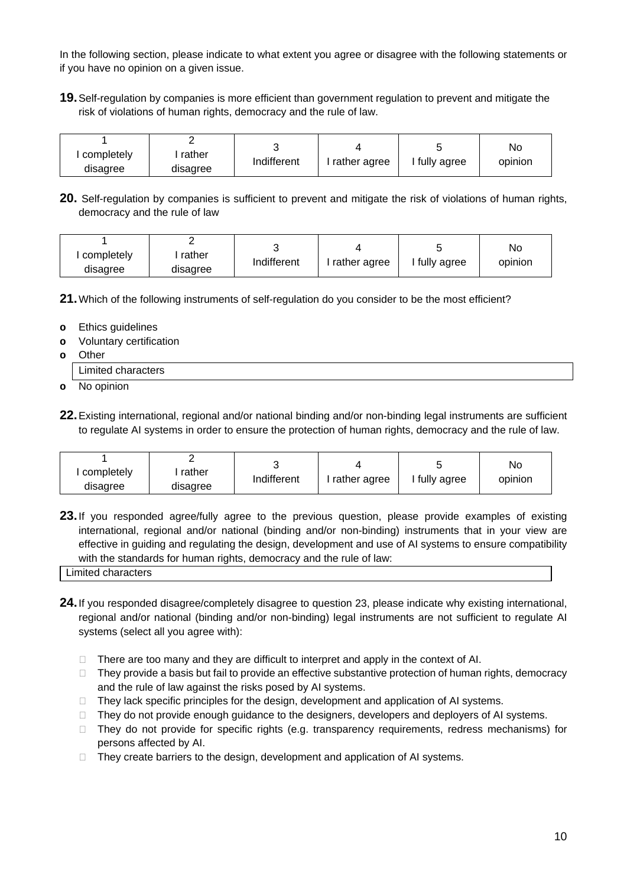In the following section, please indicate to what extent you agree or disagree with the following statements or if you have no opinion on a given issue.

**19.**Self-regulation by companies is more efficient than government regulation to prevent and mitigate the risk of violations of human rights, democracy and the rule of law.

| completely<br>disagree | rather<br>disagree | Indifferent | rather agree | fully agree | No<br>opinion |
|------------------------|--------------------|-------------|--------------|-------------|---------------|
|------------------------|--------------------|-------------|--------------|-------------|---------------|

**20.** Self-regulation by companies is sufficient to prevent and mitigate the risk of violations of human rights, democracy and the rule of law

|            |          |             |              |             | No      |
|------------|----------|-------------|--------------|-------------|---------|
| completely | rather   | Indifferent | rather agree | fully agree | opinion |
| disagree   | disagree |             |              |             |         |

**21.**Which of the following instruments of self-regulation do you consider to be the most efficient?

- **o** Ethics guidelines
- **o** Voluntary certification
- **o** Other

Limited characters

**o** No opinion

**22.**Existing international, regional and/or national binding and/or non-binding legal instruments are sufficient to regulate AI systems in order to ensure the protection of human rights, democracy and the rule of law.

| completely | rather   | Indifferent | rather agree | fully agree | No<br>opinion |
|------------|----------|-------------|--------------|-------------|---------------|
| disagree   | disagree |             |              |             |               |

**23.** If you responded agree/fully agree to the previous question, please provide examples of existing international, regional and/or national (binding and/or non-binding) instruments that in your view are effective in guiding and regulating the design, development and use of AI systems to ensure compatibility with the standards for human rights, democracy and the rule of law:

- **24.**If you responded disagree/completely disagree to question 23, please indicate why existing international, regional and/or national (binding and/or non-binding) legal instruments are not sufficient to regulate AI systems (select all you agree with):
	- $\Box$  There are too many and they are difficult to interpret and apply in the context of AI.
	- $\Box$  They provide a basis but fail to provide an effective substantive protection of human rights, democracy and the rule of law against the risks posed by AI systems.
	- $\Box$  They lack specific principles for the design, development and application of AI systems.
	- $\Box$  They do not provide enough guidance to the designers, developers and deployers of AI systems.
	- □ They do not provide for specific rights (e.g. transparency requirements, redress mechanisms) for persons affected by AI.
	- $\Box$  They create barriers to the design, development and application of AI systems.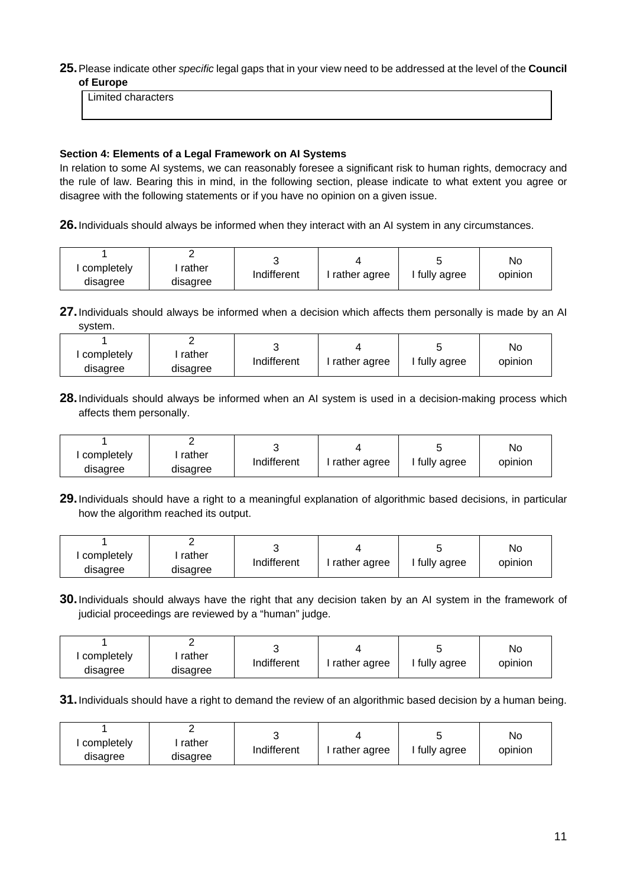## **25.**Please indicate other *specific* legal gaps that in your view need to be addressed at the level of the **Council of Europe**

Limited characters

## **Section 4: Elements of a Legal Framework on AI Systems**

In relation to some AI systems, we can reasonably foresee a significant risk to human rights, democracy and the rule of law. Bearing this in mind, in the following section, please indicate to what extent you agree or disagree with the following statements or if you have no opinion on a given issue.

**26.**Individuals should always be informed when they interact with an AI system in any circumstances.

| completely | rather   | Indifferent | rather agree | ' fully agree | No<br>opinion |
|------------|----------|-------------|--------------|---------------|---------------|
| disagree   | disagree |             |              |               |               |

**27.**Individuals should always be informed when a decision which affects them personally is made by an AI system.

|            |          |             |              |             | No      |
|------------|----------|-------------|--------------|-------------|---------|
| completely | rather   | Indifferent |              | fully agree |         |
| disagree   | disagree |             | rather agree |             | opinion |

**28.**Individuals should always be informed when an AI system is used in a decision-making process which affects them personally.

| completely | rather   |             |              | fully agree | No      |
|------------|----------|-------------|--------------|-------------|---------|
| disagree   | disagree | Indifferent | rather agree |             | opinion |

**29.**Individuals should have a right to a meaningful explanation of algorithmic based decisions, in particular how the algorithm reached its output.

|            |          |             |              |             | No      |
|------------|----------|-------------|--------------|-------------|---------|
| completely | rather   |             |              | fully agree |         |
| disagree   | disagree | Indifferent | rather agree |             | opinion |

**30.**Individuals should always have the right that any decision taken by an AI system in the framework of judicial proceedings are reviewed by a "human" judge.

| completely | rather   |             | rather agree | fully agree | No<br>opinion |
|------------|----------|-------------|--------------|-------------|---------------|
| disagree   | disagree | Indifferent |              |             |               |

**31.** Individuals should have a right to demand the review of an algorithmic based decision by a human being.

| completely<br>disagree | rather<br>disagree | Indifferent | rather agree | fully agree | No<br>opinion |
|------------------------|--------------------|-------------|--------------|-------------|---------------|
|------------------------|--------------------|-------------|--------------|-------------|---------------|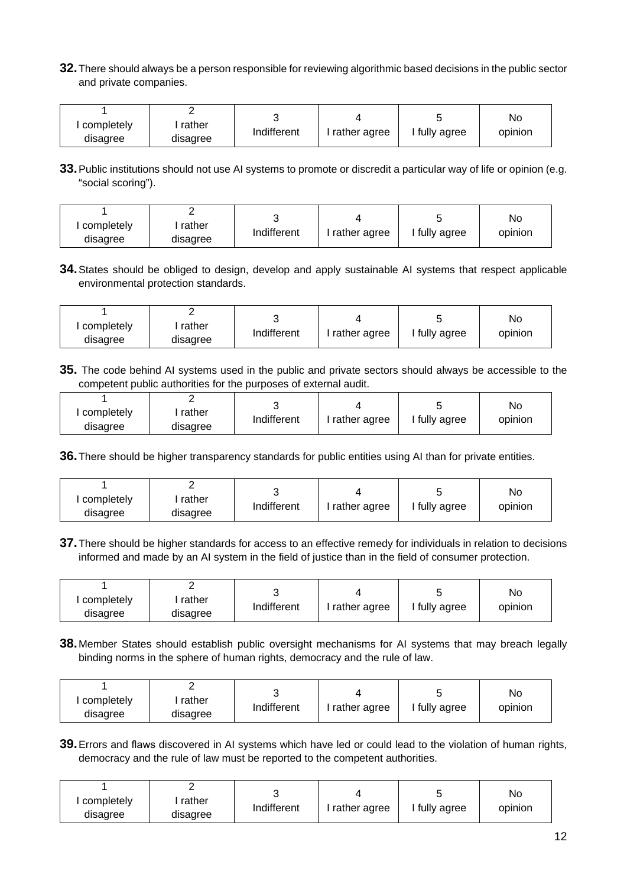**32.**There should always be a person responsible for reviewing algorithmic based decisions in the public sector and private companies.

|            |          |             |              |             | No      |
|------------|----------|-------------|--------------|-------------|---------|
| completely | rather   | Indifferent | rather agree | fully agree | opinion |
| disagree   | disagree |             |              |             |         |

**33.**Public institutions should not use AI systems to promote or discredit a particular way of life or opinion (e.g. "social scoring").

| completely<br>disagree | rather<br>disagree | Indifferent | rather agree | fully agree | No<br>opinion |
|------------------------|--------------------|-------------|--------------|-------------|---------------|
|                        |                    |             |              |             |               |

**34.**States should be obliged to design, develop and apply sustainable AI systems that respect applicable environmental protection standards.

| completely | rather   | Indifferent | rather agree | fully agree | No.<br>opinion |
|------------|----------|-------------|--------------|-------------|----------------|
| disagree   | disagree |             |              |             |                |

**35.** The code behind AI systems used in the public and private sectors should always be accessible to the competent public authorities for the purposes of external audit.

| completely | rather   | Indifferent | rather agree | fully agree | No<br>opinion |
|------------|----------|-------------|--------------|-------------|---------------|
| disagree   | disagree |             |              |             |               |

**36.**There should be higher transparency standards for public entities using AI than for private entities.

| completely<br>rather<br>disagree<br>disagree | Indifferent | l rather agree | fully agree | No<br>opinion |
|----------------------------------------------|-------------|----------------|-------------|---------------|
|----------------------------------------------|-------------|----------------|-------------|---------------|

**37.**There should be higher standards for access to an effective remedy for individuals in relation to decisions informed and made by an AI system in the field of justice than in the field of consumer protection.

| completely<br>disagree | rather<br>disagree | Indifferent | rather agree | fully agree | No<br>opinion |
|------------------------|--------------------|-------------|--------------|-------------|---------------|
|------------------------|--------------------|-------------|--------------|-------------|---------------|

**38.**Member States should establish public oversight mechanisms for AI systems that may breach legally binding norms in the sphere of human rights, democracy and the rule of law.

| completely | rather   | Indifferent |              | fully agree | No      |
|------------|----------|-------------|--------------|-------------|---------|
| disagree   | disagree |             | rather agree |             | opinion |

**39.**Errors and flaws discovered in AI systems which have led or could lead to the violation of human rights, democracy and the rule of law must be reported to the competent authorities.

| completely<br>disagree | rather<br>disagree | Indifferent | rather agree | fully agree | No<br>opinion |
|------------------------|--------------------|-------------|--------------|-------------|---------------|
|------------------------|--------------------|-------------|--------------|-------------|---------------|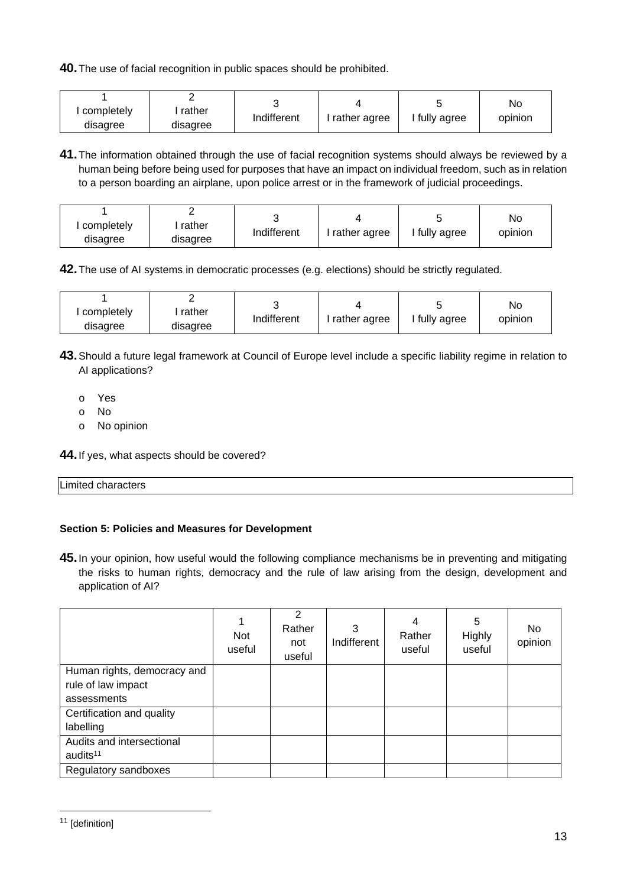**40.**The use of facial recognition in public spaces should be prohibited.

| completely<br>disagree | rather<br>disagree | Indifferent | rather agree | fully agree | No<br>opinion |
|------------------------|--------------------|-------------|--------------|-------------|---------------|
|------------------------|--------------------|-------------|--------------|-------------|---------------|

**41.**The information obtained through the use of facial recognition systems should always be reviewed by a human being before being used for purposes that have an impact on individual freedom, such as in relation to a person boarding an airplane, upon police arrest or in the framework of judicial proceedings.

| completely | rather   | Indifferent | rather agree | fully agree | No<br>opinion |
|------------|----------|-------------|--------------|-------------|---------------|
| disagree   | disagree |             |              |             |               |

**42.**The use of AI systems in democratic processes (e.g. elections) should be strictly regulated.

| completely | rather   | Indifferent |              |             | No      |
|------------|----------|-------------|--------------|-------------|---------|
| disagree   | disagree |             | rather agree | fully agree | opinion |

- **43.**Should a future legal framework at Council of Europe level include a specific liability regime in relation to AI applications?
	- o Yes
	- o No
	- o No opinion

**44.**If yes, what aspects should be covered?

| Limited characters |  |  |
|--------------------|--|--|

# **Section 5: Policies and Measures for Development**

**45.**In your opinion, how useful would the following compliance mechanisms be in preventing and mitigating the risks to human rights, democracy and the rule of law arising from the design, development and application of AI?

|                             | <b>Not</b><br>useful | 2<br>Rather<br>not<br>useful | 3<br>Indifferent | 4<br>Rather<br>useful | 5<br>Highly<br>useful | No.<br>opinion |
|-----------------------------|----------------------|------------------------------|------------------|-----------------------|-----------------------|----------------|
| Human rights, democracy and |                      |                              |                  |                       |                       |                |
| rule of law impact          |                      |                              |                  |                       |                       |                |
| assessments                 |                      |                              |                  |                       |                       |                |
| Certification and quality   |                      |                              |                  |                       |                       |                |
| labelling                   |                      |                              |                  |                       |                       |                |
| Audits and intersectional   |                      |                              |                  |                       |                       |                |
| audits <sup>11</sup>        |                      |                              |                  |                       |                       |                |
| Regulatory sandboxes        |                      |                              |                  |                       |                       |                |

<sup>11</sup> [definition]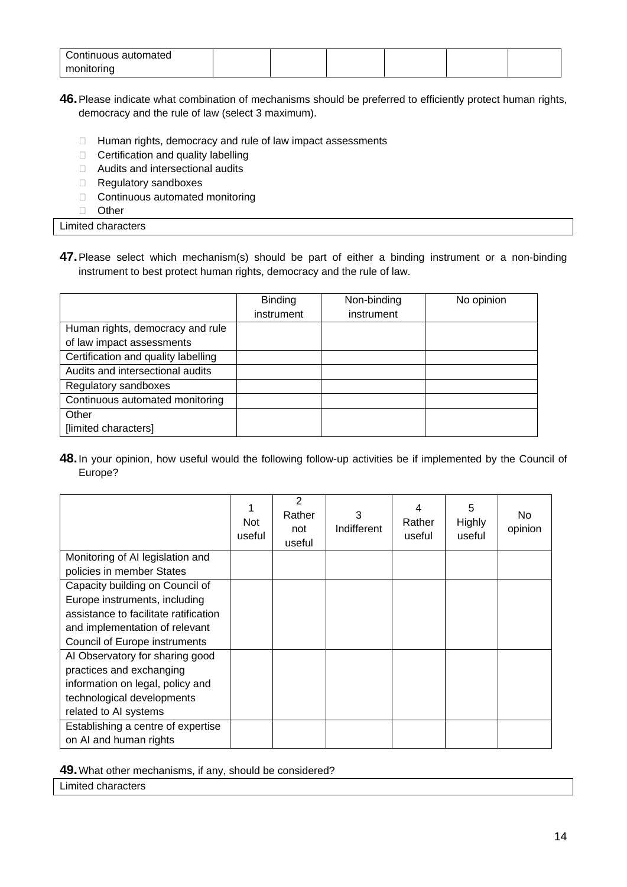| Continuous automated |  |  |  |
|----------------------|--|--|--|
| monitoring           |  |  |  |

- **46.**Please indicate what combination of mechanisms should be preferred to efficiently protect human rights, democracy and the rule of law (select 3 maximum).
	- $\Box$  Human rights, democracy and rule of law impact assessments
	- $\Box$  Certification and quality labelling
	- □ Audits and intersectional audits
	- Regulatory sandboxes
	- $\Box$  Continuous automated monitoring
	- □ Other

Limited characters

**47.**Please select which mechanism(s) should be part of either a binding instrument or a non-binding instrument to best protect human rights, democracy and the rule of law.

|                                     | <b>Binding</b> | Non-binding | No opinion |
|-------------------------------------|----------------|-------------|------------|
|                                     | instrument     | instrument  |            |
| Human rights, democracy and rule    |                |             |            |
| of law impact assessments           |                |             |            |
| Certification and quality labelling |                |             |            |
| Audits and intersectional audits    |                |             |            |
| Regulatory sandboxes                |                |             |            |
| Continuous automated monitoring     |                |             |            |
| Other                               |                |             |            |
| [limited characters]                |                |             |            |

**48.**In your opinion, how useful would the following follow-up activities be if implemented by the Council of Europe?

|                                       | <b>Not</b><br>useful | 2<br>Rather<br>not<br>useful | 3<br>Indifferent | 4<br>Rather<br>useful | 5<br>Highly<br>useful | No.<br>opinion |
|---------------------------------------|----------------------|------------------------------|------------------|-----------------------|-----------------------|----------------|
| Monitoring of AI legislation and      |                      |                              |                  |                       |                       |                |
| policies in member States             |                      |                              |                  |                       |                       |                |
| Capacity building on Council of       |                      |                              |                  |                       |                       |                |
| Europe instruments, including         |                      |                              |                  |                       |                       |                |
| assistance to facilitate ratification |                      |                              |                  |                       |                       |                |
| and implementation of relevant        |                      |                              |                  |                       |                       |                |
| <b>Council of Europe instruments</b>  |                      |                              |                  |                       |                       |                |
| Al Observatory for sharing good       |                      |                              |                  |                       |                       |                |
| practices and exchanging              |                      |                              |                  |                       |                       |                |
| information on legal, policy and      |                      |                              |                  |                       |                       |                |
| technological developments            |                      |                              |                  |                       |                       |                |
| related to AI systems                 |                      |                              |                  |                       |                       |                |
| Establishing a centre of expertise    |                      |                              |                  |                       |                       |                |
| on AI and human rights                |                      |                              |                  |                       |                       |                |

**49.**What other mechanisms, if any, should be considered?

Limited characters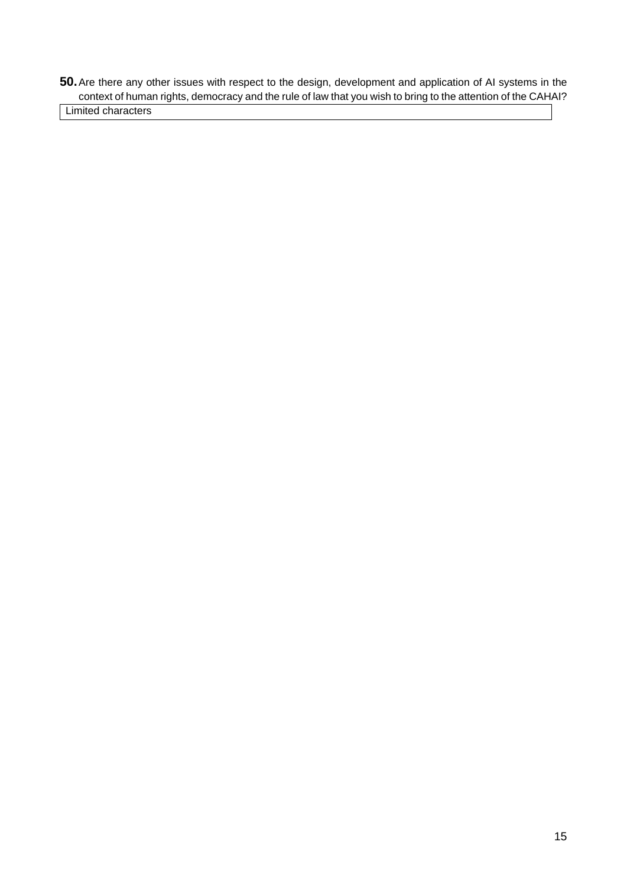**50.**Are there any other issues with respect to the design, development and application of AI systems in the context of human rights, democracy and the rule of law that you wish to bring to the attention of the CAHAI?

Limited characters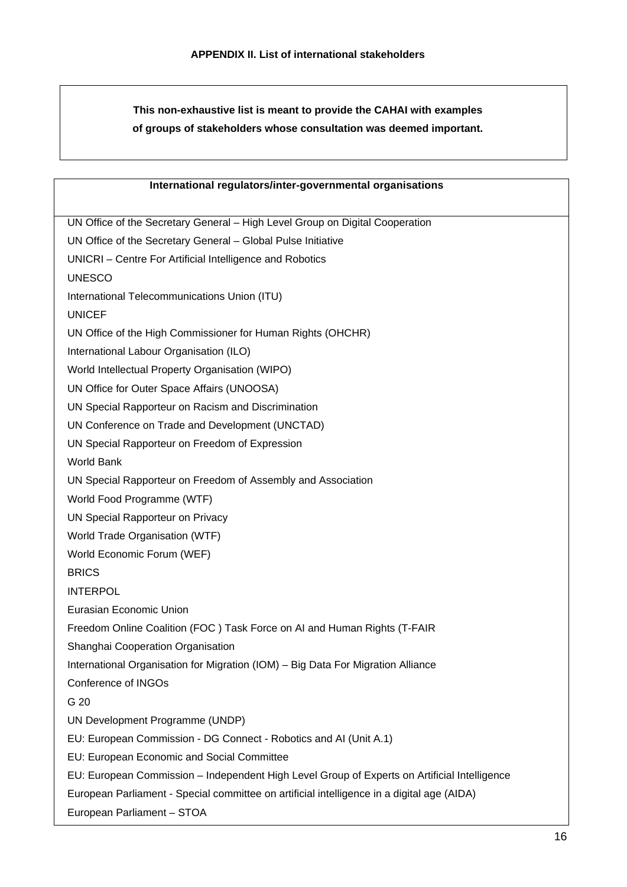**This non-exhaustive list is meant to provide the CAHAI with examples of groups of stakeholders whose consultation was deemed important.**

| International regulators/inter-governmental organisations                                              |
|--------------------------------------------------------------------------------------------------------|
| UN Office of the Secretary General - High Level Group on Digital Cooperation                           |
| UN Office of the Secretary General - Global Pulse Initiative                                           |
| UNICRI - Centre For Artificial Intelligence and Robotics                                               |
| <b>UNESCO</b>                                                                                          |
| International Telecommunications Union (ITU)                                                           |
| <b>UNICEF</b>                                                                                          |
|                                                                                                        |
| UN Office of the High Commissioner for Human Rights (OHCHR)<br>International Labour Organisation (ILO) |
|                                                                                                        |
| World Intellectual Property Organisation (WIPO)                                                        |
| UN Office for Outer Space Affairs (UNOOSA)<br>UN Special Rapporteur on Racism and Discrimination       |
| UN Conference on Trade and Development (UNCTAD)                                                        |
| UN Special Rapporteur on Freedom of Expression                                                         |
| <b>World Bank</b>                                                                                      |
| UN Special Rapporteur on Freedom of Assembly and Association                                           |
| World Food Programme (WTF)                                                                             |
| UN Special Rapporteur on Privacy                                                                       |
| World Trade Organisation (WTF)                                                                         |
| World Economic Forum (WEF)                                                                             |
| <b>BRICS</b>                                                                                           |
| <b>INTERPOL</b>                                                                                        |
| Eurasian Economic Union                                                                                |
| Freedom Online Coalition (FOC) Task Force on AI and Human Rights (T-FAIR                               |
| Shanghai Cooperation Organisation                                                                      |
| International Organisation for Migration (IOM) - Big Data For Migration Alliance                       |
| Conference of INGOs                                                                                    |
| G 20                                                                                                   |
| UN Development Programme (UNDP)                                                                        |
| EU: European Commission - DG Connect - Robotics and AI (Unit A.1)                                      |
| EU: European Economic and Social Committee                                                             |
| EU: European Commission - Independent High Level Group of Experts on Artificial Intelligence           |
| European Parliament - Special committee on artificial intelligence in a digital age (AIDA)             |
|                                                                                                        |
| European Parliament - STOA                                                                             |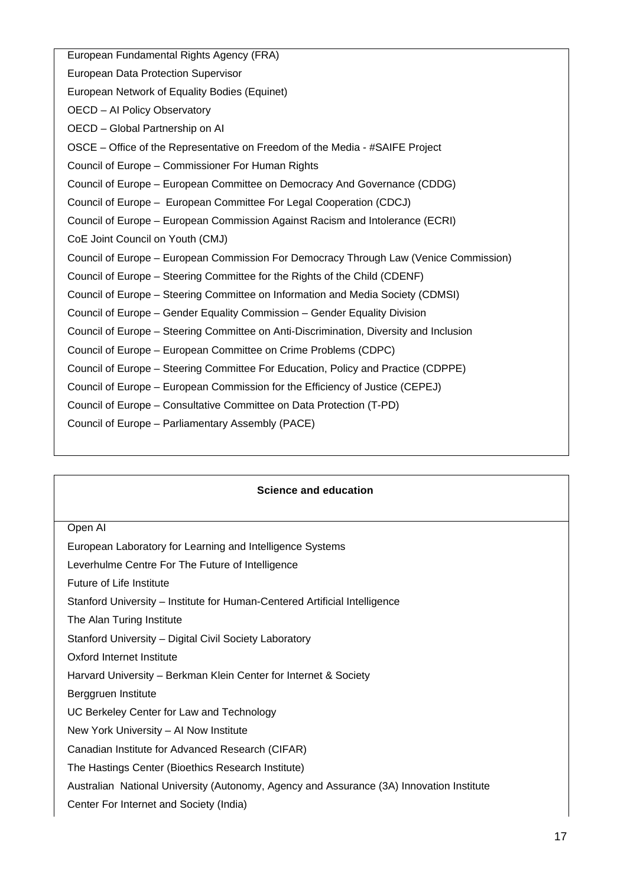European Fundamental Rights Agency (FRA) European Data Protection Supervisor European Network of Equality Bodies (Equinet) OECD – AI Policy Observatory OECD – Global Partnership on AI OSCE – Office of the Representative on Freedom of the Media - #SAIFE Project Council of Europe – Commissioner For Human Rights Council of Europe – European Committee on Democracy And Governance (CDDG) Council of Europe – European Committee For Legal Cooperation (CDCJ) Council of Europe – European Commission Against Racism and Intolerance (ECRI) CoE Joint Council on Youth (CMJ) Council of Europe – European Commission For Democracy Through Law (Venice Commission) Council of Europe – Steering Committee for the Rights of the Child (CDENF) Council of Europe – Steering Committee on Information and Media Society (CDMSI) Council of Europe – Gender Equality Commission – Gender Equality Division Council of Europe – Steering Committee on Anti-Discrimination, Diversity and Inclusion Council of Europe – European Committee on Crime Problems (CDPC) Council of Europe – Steering Committee For Education, Policy and Practice (CDPPE) Council of Europe – European Commission for the Efficiency of Justice (CEPEJ) Council of Europe – Consultative Committee on Data Protection (T-PD) Council of Europe – Parliamentary Assembly (PACE)

#### **Science and education**

#### Open AI

European Laboratory for Learning and Intelligence Systems

Leverhulme Centre For The Future of Intelligence

Future of Life Institute

Stanford University – Institute for Human-Centered Artificial Intelligence

The Alan Turing Institute

Stanford University – Digital Civil Society Laboratory

Oxford Internet Institute

Harvard University – Berkman Klein Center for Internet & Society

Berggruen Institute

UC Berkeley Center for Law and Technology

New York University – AI Now Institute

Canadian Institute for Advanced Research (CIFAR)

The Hastings Center (Bioethics Research Institute)

Australian National University (Autonomy, Agency and Assurance (3A) Innovation Institute

Center For Internet and Society (India)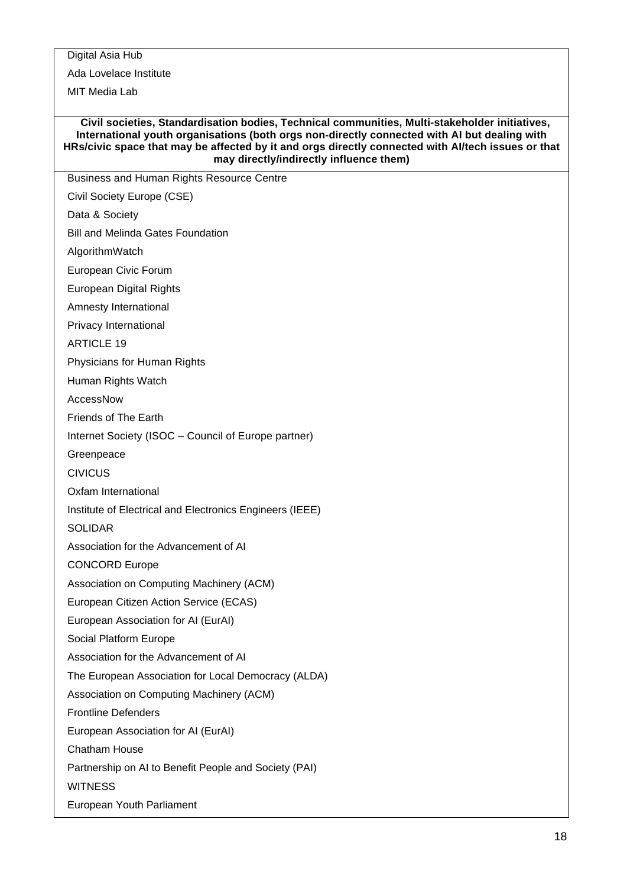Digital Asia Hub

Ada Lovelace Institute

MIT Media Lab

#### **Civil societies, Standardisation bodies, Technical communities, Multi-stakeholder initiatives, International youth organisations (both orgs non-directly connected with AI but dealing with HRs/civic space that may be affected by it and orgs directly connected with AI/tech issues or that may directly/indirectly influence them)**

Business and Human Rights Resource Centre

Civil Society Europe (CSE)

Data & Society

Bill and Melinda Gates Foundation

AlgorithmWatch

European Civic Forum

European Digital Rights

Amnesty International

Privacy International

ARTICLE 19

Physicians for Human Rights

Human Rights Watch

AccessNow

Friends of The Earth

Internet Society (ISOC – Council of Europe partner)

Greenpeace

CIVICUS

Oxfam International

Institute of Electrical and Electronics Engineers (IEEE)

SOLIDAR

Association for the Advancement of AI

CONCORD Europe

Association on Computing Machinery (ACM)

European Citizen Action Service (ECAS)

European Association for AI (EurAI)

Social Platform Europe

Association for the Advancement of AI

The European Association for Local Democracy (ALDA)

Association on Computing Machinery (ACM)

Frontline Defenders

European Association for AI (EurAI)

Chatham House

Partnership on AI to Benefit People and Society (PAI)

**WITNESS** 

European Youth Parliament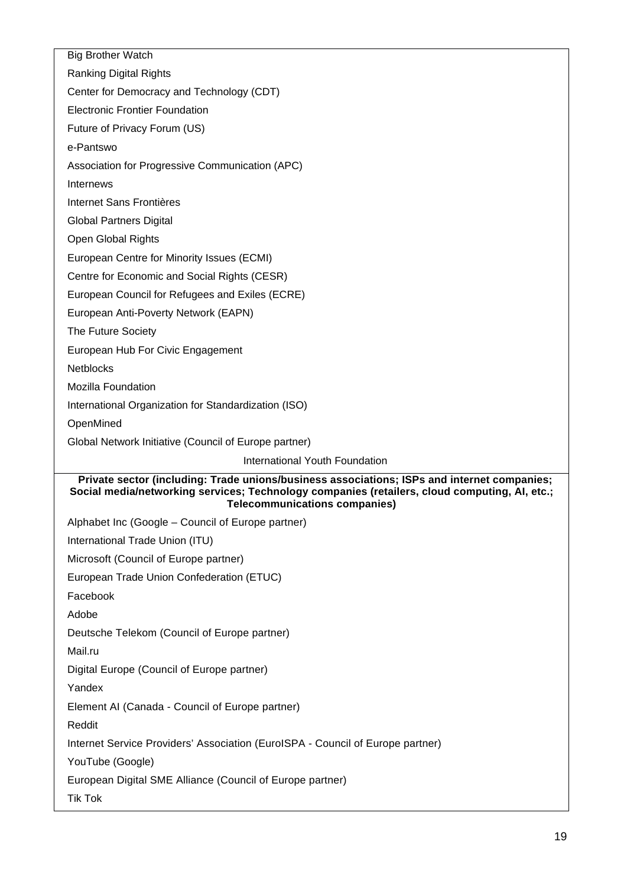| <b>Big Brother Watch</b>                                                                                                                                                                                                             |
|--------------------------------------------------------------------------------------------------------------------------------------------------------------------------------------------------------------------------------------|
| <b>Ranking Digital Rights</b>                                                                                                                                                                                                        |
| Center for Democracy and Technology (CDT)                                                                                                                                                                                            |
| <b>Electronic Frontier Foundation</b>                                                                                                                                                                                                |
| Future of Privacy Forum (US)                                                                                                                                                                                                         |
| e-Pantswo                                                                                                                                                                                                                            |
| Association for Progressive Communication (APC)                                                                                                                                                                                      |
| Internews                                                                                                                                                                                                                            |
| <b>Internet Sans Frontières</b>                                                                                                                                                                                                      |
| <b>Global Partners Digital</b>                                                                                                                                                                                                       |
| Open Global Rights                                                                                                                                                                                                                   |
| European Centre for Minority Issues (ECMI)                                                                                                                                                                                           |
| Centre for Economic and Social Rights (CESR)                                                                                                                                                                                         |
| European Council for Refugees and Exiles (ECRE)                                                                                                                                                                                      |
| European Anti-Poverty Network (EAPN)                                                                                                                                                                                                 |
| The Future Society                                                                                                                                                                                                                   |
| European Hub For Civic Engagement                                                                                                                                                                                                    |
| <b>Netblocks</b>                                                                                                                                                                                                                     |
| <b>Mozilla Foundation</b>                                                                                                                                                                                                            |
| International Organization for Standardization (ISO)                                                                                                                                                                                 |
| OpenMined                                                                                                                                                                                                                            |
| Global Network Initiative (Council of Europe partner)                                                                                                                                                                                |
| International Youth Foundation                                                                                                                                                                                                       |
| Private sector (including: Trade unions/business associations; ISPs and internet companies;<br>Social media/networking services; Technology companies (retailers, cloud computing, AI, etc.;<br><b>Telecommunications companies)</b> |
| Alphabet Inc (Google - Council of Europe partner)                                                                                                                                                                                    |
| International Trade Union (ITU)                                                                                                                                                                                                      |
| Microsoft (Council of Europe partner)                                                                                                                                                                                                |
| European Trade Union Confederation (ETUC)                                                                                                                                                                                            |
| Facebook                                                                                                                                                                                                                             |
| Adobe                                                                                                                                                                                                                                |
| Deutsche Telekom (Council of Europe partner)                                                                                                                                                                                         |
| Mail.ru                                                                                                                                                                                                                              |
| Digital Europe (Council of Europe partner)                                                                                                                                                                                           |
| Yandex                                                                                                                                                                                                                               |
| Element AI (Canada - Council of Europe partner)                                                                                                                                                                                      |
| Reddit                                                                                                                                                                                                                               |
| Internet Service Providers' Association (EuroISPA - Council of Europe partner)                                                                                                                                                       |
| YouTube (Google)                                                                                                                                                                                                                     |
| European Digital SME Alliance (Council of Europe partner)                                                                                                                                                                            |
| <b>Tik Tok</b>                                                                                                                                                                                                                       |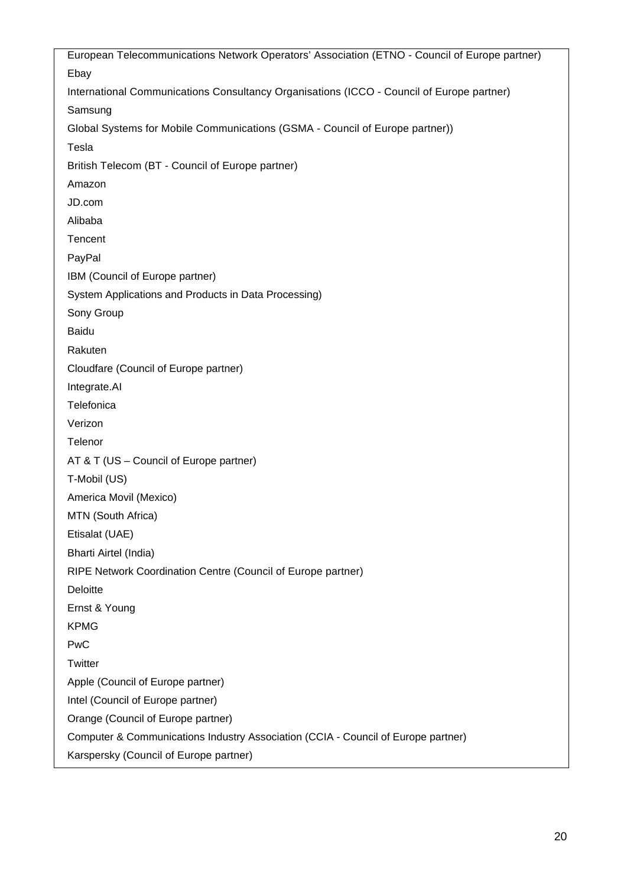European Telecommunications Network Operators' Association (ETNO - Council of Europe partner) Ebay International Communications Consultancy Organisations (ICCO - Council of Europe partner) Samsung Global Systems for Mobile Communications (GSMA - Council of Europe partner)) Tesla British Telecom (BT - Council of Europe partner) Amazon JD.com Alibaba **Tencent** PayPal IBM (Council of Europe partner) System Applications and Products in Data Processing) Sony Group Baidu Rakuten Cloudfare (Council of Europe partner) Integrate.AI **Telefonica** Verizon **Telenor** AT & T (US – Council of Europe partner) T-Mobil (US) America Movil (Mexico) MTN (South Africa) Etisalat (UAE) Bharti Airtel (India) RIPE Network Coordination Centre (Council of Europe partner) **Deloitte** Ernst & Young KPMG PwC **Twitter** Apple (Council of Europe partner) Intel (Council of Europe partner) Orange (Council of Europe partner) Computer & Communications Industry Association (CCIA - Council of Europe partner) Karspersky (Council of Europe partner)